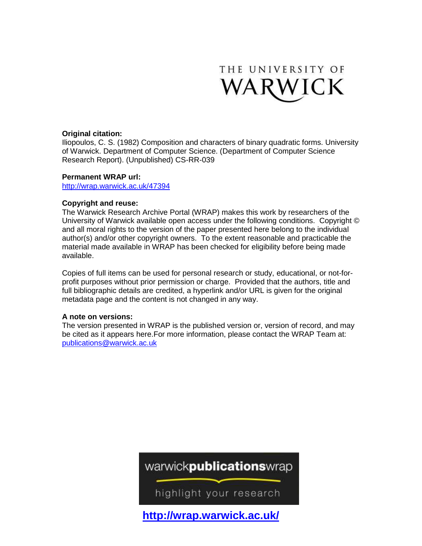

#### **Original citation:**

Iliopoulos, C. S. (1982) Composition and characters of binary quadratic forms. University of Warwick. Department of Computer Science. (Department of Computer Science Research Report). (Unpublished) CS-RR-039

#### **Permanent WRAP url:**

<http://wrap.warwick.ac.uk/47394>

#### **Copyright and reuse:**

The Warwick Research Archive Portal (WRAP) makes this work by researchers of the University of Warwick available open access under the following conditions. Copyright © and all moral rights to the version of the paper presented here belong to the individual author(s) and/or other copyright owners. To the extent reasonable and practicable the material made available in WRAP has been checked for eligibility before being made available.

Copies of full items can be used for personal research or study, educational, or not-forprofit purposes without prior permission or charge. Provided that the authors, title and full bibliographic details are credited, a hyperlink and/or URL is given for the original metadata page and the content is not changed in any way.

#### **A note on versions:**

The version presented in WRAP is the published version or, version of record, and may be cited as it appears here.For more information, please contact the WRAP Team at: [publications@warwick.ac.uk](mailto:publications@warwick.ac.uk)

### warwickpublicationswrap

highlight your research

**<http://wrap.warwick.ac.uk/>**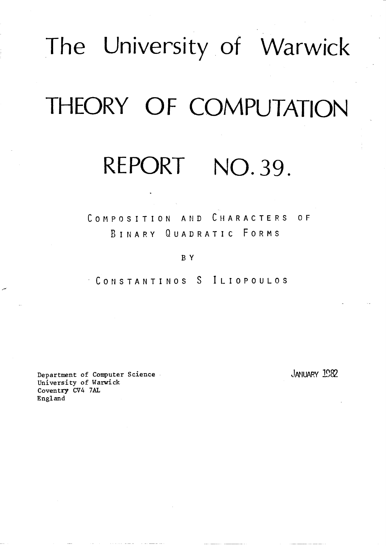# The University of Warwick

## THEORY OF COMPUTATION

### REPORT NO.39.

COMPOSITION AND CHARACTERS OF BINARY QUADRATIC FORMS

#### BY

CONSTANTINOS S ILIOPOULOS

Department of Computer Science University of Warwick Coventry CV4 7AL England

JANUARY 1982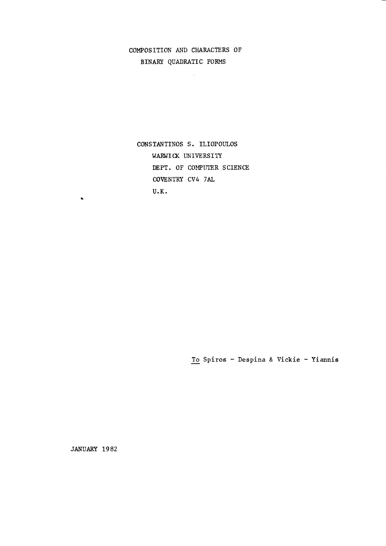#### COMPOSITION AND CHARACTERS OF BINARY QUADRATIC FORMS

 $\bar{z}$ 

CONSTANTINOS S. ILIOPOULOS WARWICK UNIVERSITY DEPT. OF COMPUTER SCIENCE COVENTRY CV4 7AL  $U.K.$ 

To Spiros - Despina & Vickie - Yiannis

JANUARY 1982

 $\mathbf{x}$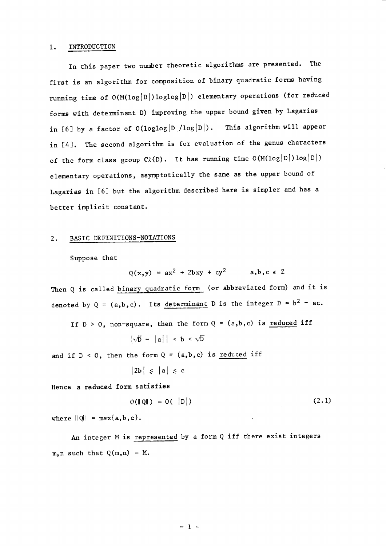#### 1. INTRODUCTION

In this paper two number theoretic algorithms are presented. The first is an algorithm for composition of binary quadratic fotms having running time of  $O(M(log|D|)loglog|D|)$  elementary operations (for reduced forms with determinant D) improving the upper bound given by Lagarias in [6] by a factor of  $O(loglog|D|/log|D|)$ . This algorithm will appear in [4]. The second algorithm is for evaluation of the genus characters of the form class group  $C\ell(D)$ . It has running time  $O(M(log |D|) log |D|)$ elementary operations, asymptotically the same as the upper bound of Lagarias in [6] but the algorithm described here is simpler and has a better implicit constant.

#### 2. BASIC DEFINITIONS-NOTATIONS

Suppose that

 $Q(x, y) = ax^2 + 2bxy + cy^2$  a,b,c  $\epsilon$  Z

Then Q is called binary quadratic form (or abbreviated form) and it is denoted by Q =  $(a,b,c)$ . Its <u>determinant</u> D is the integer D =  $b^2$  - ac.

If  $D > 0$ , non-square, then the form  $Q = (a,b,c)$  is <u>reduced</u> if

$$
\left|\sqrt{D} - |a|\right| \, < \, b \, < \sqrt{D}
$$

and if  $D < 0$ , then the form  $Q = (a,b,c)$  is <u>reduced</u> if

$$
\big|2b\big|\ \leqslant\ \big|a\big|\ \leqslant\ c
$$

Hence a reduced form satisfies

$$
O(||Q||) = O(|D|)
$$
 (2.1)

where  $\|Q\| = \max\{a, b, c\}.$ 

An integer M is represented by a form Q iff there exist integers  $m, n$  such that  $Q(m, n) = M$ .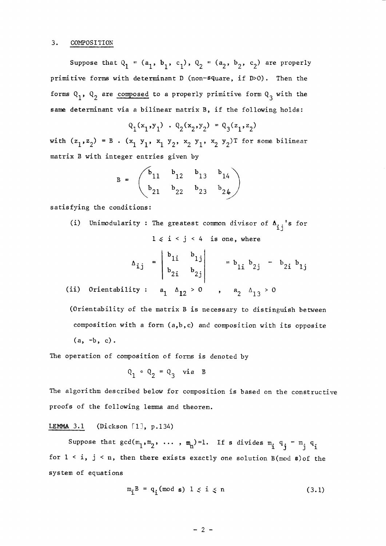#### 3. COMPOSITION

Suppose that  $Q_1 = (a_1, b_1, c_1), Q_2 = (a_2, b_2, c_2)$  are properly primitive forms with determinant D (non-s9uare, if D>O). Then the forms  $Q_1$ ,  $Q_2$  are composed to a properly primitive form  $Q_3$  with the same determinant via a bilinear matrix B, if the following holds:

$$
\mathbf{Q}_1(\mathbf{x}_1, \mathbf{y}_1) \cdot \mathbf{Q}_2(\mathbf{x}_2, \mathbf{y}_2) = \mathbf{Q}_3(\mathbf{z}_1, \mathbf{z}_2)
$$

with  $(z_1, z_2) = B$ .  $(x_1, y_1, x_1, y_2, x_2, y_1, x_2, y_2)$ T for some bilinear matrix B with integer entries given by

$$
B = \begin{pmatrix} b_{11} & b_{12} & b_{13} & b_{14} \\ b_{21} & b_{22} & b_{23} & b_{24} \end{pmatrix}
$$

satisfying the conditions:

(i) Unimodularity : The greatest common divisor of  $A_{i,j}$ 's for  $1 \le i \le j \le 4$  is one, where

$$
\Delta_{ij} = \begin{vmatrix} b_{1i} & b_{1j} \\ b_{2i} & b_{2j} \end{vmatrix} = b_{1i} b_{2j} - b_{2i} b_{1j}
$$

(ii) Orientability :  $a_1 \Delta_{12} > 0$  ,  $a_2 \Delta_{13} > 0$ 

(Orientability of the matrix B is necessary to distinguish between composition with a form  $(a,b,c)$  and composition with its opposite  $(a, -b, c)$ .

The operation of composition of forns is denoted by

$$
Q_1 \circ Q_2 = Q_3
$$
 via B

The algorithm described below for composition is based on the constructive proofs of the following lemma and theorem.

#### LEMMA 3.1 (Dickson  $[1], p.134$ )

Suppose that  $gcd(m_1, m_2, \ldots, m_n)=1$ . If s divides  $m_i q_j - m_i q_i$ for  $1 \le i$ ,  $j \le n$ , then there exists exactly one solution B(mod s) of the system of equations

$$
m_{\mathbf{i}}B = q_{\mathbf{i}} \pmod{\mathbf{s}} \quad 1 \leq \mathbf{i} \leq n \tag{3.1}
$$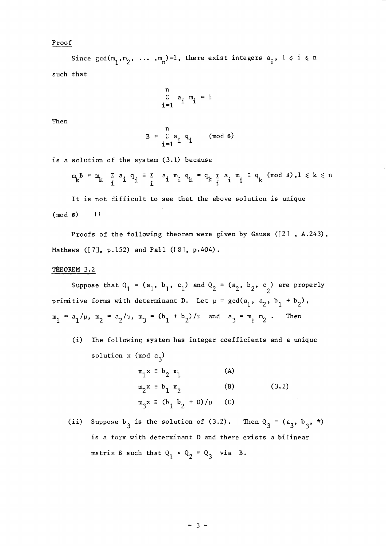#### Proof

Since  $gcd(m_1, m_2, ..., m_n)=1$ , there exist integers  $a_i$ ,  $1 \le i \le n$ such that

$$
\sum_{i=1}^{n} a_i \mathbb{m}_i = 1
$$

Then

$$
B = \sum_{i=1}^{n} a_i q_i \qquad (\text{mod } s)
$$

is a solution of the systen (3.1) because

$$
\mathfrak{m}_{k}^{B} = \mathfrak{m}_{k} \quad \sum_{i} a_{i} q_{i} \equiv \sum_{i} a_{i} \mathfrak{m}_{i} q_{k} = q_{k} \sum_{i} a_{i} \mathfrak{m}_{i} \equiv q_{k} \pmod{s}, 1 \leq k \leq n
$$

It is not difficult to see that the above solution is unique  $(mod s)$   $\Box$ 

Proofs of the following theorem were given by Gauss ([2], A.243), Mathews ([7], p.152) and Pall ([8], p.404).

#### THEOREM 3.2

Suppose that  $Q_1 = (a_1, b_1, c_1)$  and  $Q_2 = (a_2, b_2, c_2)$  are properly primitive forms with determinant D. Let  $\mu = \gcd(a_1, a_2, b_1 + b_2)$ ,  $m_1 = a_1 / \mu$ ,  $m_2 = a_2 / \mu$ ,  $m_3 = (b_1 + b_2) / \mu$  and  $a_3 = m_1 m_2$ . Then

(i) The following system has integer coefficients and a unique solution x (mod  $a_3$ )

$$
m_1 x \equiv b_2 m_1
$$
 (A)  
\n $m_2 x \equiv b_1 m_2$  (B)  
\n $m_3 x \equiv (b_1 b_2 + D) / \mu$  (C) (3.2)

(ii) Suppose  $b_3$  is the solution of (3.2). Then  $Q_3 = (a_3, b_3, *)$ is a form with determinant D and there exists a bilinear matrix B such that  $Q_1 \circ Q_2 = Q_3$  via B.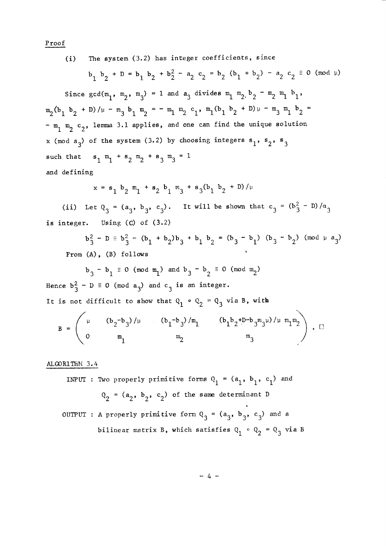Proof

The system (3.2) has integer coefficients, since  $(i)$ 

$$
b_1
$$
  $b_2$  + D =  $b_1$   $b_2$  +  $b_2^2$  -  $a_2$   $c_2$  =  $b_2$  ( $b_1$  +  $b_2$ ) -  $a_2$   $c_2$  = 0 (mod  $\mu$ )

Since  $gcd(m_1, m_2, m_3) = 1$  and  $a_3$  divides  $m_1, m_2, b_2, m_2, m_1, b_1$ ,  $m_2(b_1 b_2 + D)/\mu - m_3 b_1 m_2 = -m_1 m_2 c_1$ ,  $m_1(b_1 b_2 + D)\mu - m_3 m_1 b_2 =$  $m_1$  m<sub>2</sub> c<sub>2</sub>, lemma 3.1 applies, and one can find the unique solution x (mod  $a_3$ ) of the system (3.2) by choosing integers  $s_1$ ,  $s_2$ ,  $s_3$ such that  $s_1 m_1 + s_2 m_2 + s_3 m_3 = 1$ and defining

$$
x = s_1 b_2 m_1 + s_2 b_1 m_3 + s_3 (b_1 b_2 + D) / \mu
$$

(ii) Let  $Q_3 = (a_3, b_3, c_3)$ . It will be shown that  $c_3 = (b_3^2 - D)/\alpha_3$ is integer. Using  $(C)$  of  $(3.2)$ 

$$
b_3^2 - D = b_3^2 - (b_1 + b_2)b_3 + b_1 b_2 = (b_3 - b_1) (b_3 - b_2) (mod \mu a_3)
$$
  
From (A), (B) follows

$$
b_3 - b_1 \equiv 0 \pmod{m_1}
$$
 and  $b_3 - b_2 \equiv 0 \pmod{m_2}$ 

Hence  $b_3^2 - D \equiv 0 \pmod{a_3}$  and  $c_3$  is an integer. It is not difficult to show that  $Q_1 \circ Q_2 = Q_3$  via B, with

$$
B = \begin{pmatrix} \mu & (b_2 - b_3)/\mu & (b_1 - b_3)/m_1 & (b_1 b_2 + D - b_3 m_3 \mu)/\mu m_1 m_2 \\ 0 & m_1 & m_2 & m_3 \end{pmatrix} . \square
$$

#### ALGORITHM 3.4

INPUT : Two properly primitive forms  $Q_1 = (a_1, b_1, c_1)$  and  $Q_2 = (a_2, b_2, c_2)$  of the same determinant D

OUTPUT : A properly primitive form  $Q_3 = (a_3, b_3, c_3)$  and a bilinear matrix B, which satisfies  $Q_1 \circ Q_2 = Q_3$  via B

 $-4-$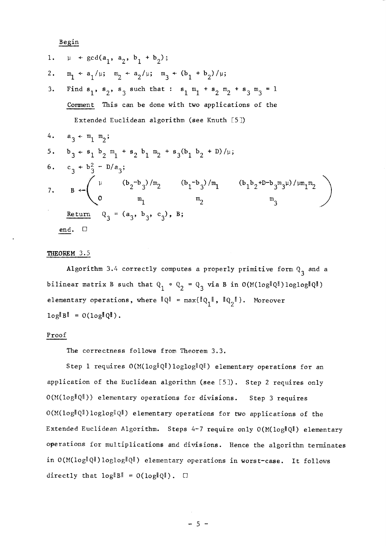Begin

1. 
$$
\mu + \gcd(a_1, a_2, b_1 + b_2)
$$
;  
\n2.  $m_1 + a_1/\mu$ ;  $m_2 + a_2/\mu$ ;  $m_3 + (b_1 + b_2)/\mu$ ;  
\n3. Find  $s_1$ ,  $s_2$ ,  $s_3$  such that :  $s_1$   $m_1 + s_2$   $m_2 + s_3$   $m_3 = 1$   
\nComment This can be done with two applications of the  
\nExtended Euclidean algorithm (see Knuth [5])  
\n4.  $a_3 + m_1 m_2$ ;  
\n5.  $b_3 + s_1 b_2 m_1 + s_2 b_1 m_2 + s_3(b_1 b_2 + D)/\mu$ ;  
\n6.  $c_3 + b_3^2 - D/a_3$ ;  
\n7.  $B + \begin{pmatrix} \mu & (b_2 - b_3)/m_2 & (b_1 - b_3)/m_1 & (b_1 b_2 + D - b_3 m_3 \mu)/\mu m_1 m_2 \\ 0 & m_1 & m_2 & m_3 \\ 0 & 0 & m_1 & m_2 & m_3 \end{pmatrix}$   
\nReturn  $Q_3 = (a_3, b_3, c_3)$ ,  $B$ ;  
\nend.  $\Box$ 

#### THEOREM 3.5

Algorithm 3.4 correctly computes a properly primitive form  $Q_3$  and a bilinear matrix B such that  $Q_1 \circ Q_2 = Q_3$  via B in  $O(M(\log^{\|Q\|})\log\log^{\|Q\|})$ elementary operations, where  $\|\mathbb{Q}\|$  =  $\max\{\|\mathbb{Q}_1\|$ ,  $\|\mathbb{Q}_2\|\}$ . Moreover  $log||B|| = O(log||Q||)$ .

#### Proof

The correctness follows fron Theorem 3.3.

Step 1 requires  $O(M(\log\lVert Q \rVert) \log\log\lVert Q \rVert)$  elementary operations for an application of the Euclidean algorithm (see  $[5]$ ). Step 2 requires only  $O(M(\log{\|Q\|}))$  elementary operations for divisions. Step 3 requires  $O(M(\log\|Q\|)\log\log\|Q\|)$  elementary operations for two applications of the Extended Euclidean Algorithm. Steps 4-7 require only  $O(M(\log\|Q\|))$  elementary operations for multiplications and divisions. Hence the algorithm terminates in  $O(M(\log{\|Q\|})\log{\log{\|Q\|}})$  elementary operations in worst-case. It follows directly that  $log||B|| = O(log||Q||)$ .  $\Box$ 

 $-5-$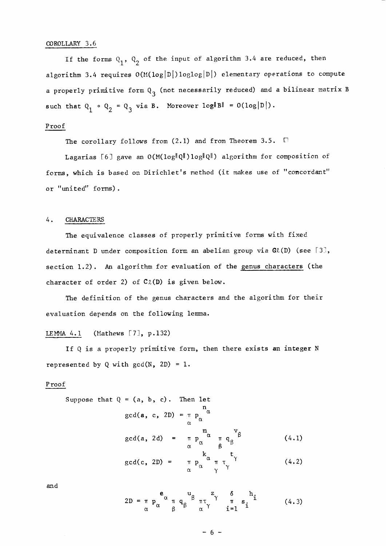#### COROLLARY 3.6

If the forms  $Q_1$ ,  $Q_2$  of the input of algorithm 3.4 are reduced, then algorithm 3.4 requires  $O(M(log|D|)loglog|D|)$  elementary operations to compute a properly primitive form  $Q_3$  (not necessarily reduced) and a bilinear matrix B such that  $Q_1 \circ Q_2 = Q_3$  via B. Moreover  $log||B|| = O(log|D|)$ .

#### Proof

The corollary follows from  $(2.1)$  and from Theorem 3.5.  $\Box$ 

Lagarias [6] gave an  $O(M(\log\lVert Q \rVert) \log \lVert Q \rVert)$  algorithm for composition of forms, which is based on Dirichlet's method (it makes use of "concordant" or "united" forms).

#### 4. CHARACTE&S

The equivalence classes of properly primitive forms with fixed determinant D under composition form an abelian group via  $G(x)$  (see [3], section L.2). An algorithm for evaluation of the genus characters (the character of order 2) of  $C_2(D)$  is given below.

The definition of the genus characters and the algorithm for their evaluation depends on the following lemma.

#### LEMMA  $4.1$  (Mathews [7], p.132)

If  $Q$  is a properly primitive form, then there exists an integer  $N$ represented by Q with  $gcd(N, 2D) = 1$ .

#### Proof

Suppose that 
$$
Q = (a, b, c)
$$
. Then let  
\n
$$
gcd(a, c, 2D) = \pi p_{\alpha}^{\alpha}
$$
\n
$$
gcd(a, 2d) = \pi p_{\alpha}^{\alpha} \pi q_{\beta}^{\nu} \qquad (4.1)
$$
\n
$$
gcd(c, 2D) = \pi p_{\alpha}^{\alpha} \pi \tau_{\gamma}^{\tau}
$$
\n(4.2)

and

$$
2D = \pi p_{\alpha}^{\mathbf{e}_{\alpha}} \pi q_{\beta}^{\mathbf{u}_{\beta}} \pi \tau_{\gamma}^{z_{\gamma}} \frac{\delta}{\delta} h_{i}
$$
 (4.3)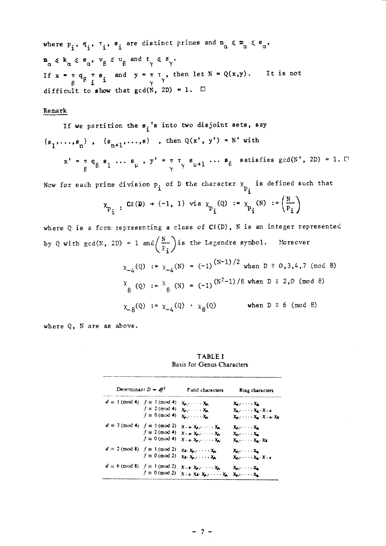where  $p_i$ ,  $q_i$ ,  $\tau_i$ ,  $s_i$  are distinct primes and  $n_{\alpha} \leq m_{\alpha} \leq e_{\alpha}$ ,  $\mathbf{n}_{\alpha} \leqslant k_{\alpha} \leqslant e_{\alpha}$ ,  $v_{\beta} \leqslant u_{\beta}$  and  $t_{\gamma} \leqslant z_{\gamma}$ . If  $x = \pi q_{\beta} \pi s$  and  $y = \pi \tau$ , then let  $N = Q(x,y)$ . It is not<br>difficult to show that  $gcd(N, 2D) = 1$ .  $\square$ 

#### Remark

If we partition the 
$$
s_i
$$
's into two disjoint sets, say  
\n $\{s_1, ..., s_n\}$ ,  $\{s_{n+1}, ..., s\}$ , then  $Q(x', y') = N'$  with  
\n $x' = \pi q_\beta s_1 ... s_\mu$ ,  $y' = \pi \tau_\gamma s_{\mu+1} ... s_\delta$  satisfies  $gcd(N', 2D) = 1$ .  $\square$   
\nNow for each prime division p, of D the character  $\chi_n$  is defined such that

 $\mathbf{i}$  $P_{\mathbf{i}}$ 

$$
\chi_{p_i}
$$
 :  $C\ell(\mathbf{D}) + \{-1, 1\}$  via  $\chi_{p_i}(Q) := \chi_{p_i}(N) := \left(\frac{N}{P_i}\right)$ 

where Q is a form representing a class of  $C(k(D))$ , N is an integer represented by Q with gcd(N, 2D) = 1 and  $\left(\frac{N}{P_i}\right)$  is the Legendre symbol. Moreover  $(37.35)$ 

$$
\chi_{-4}(Q) := \chi_{-4}(N) = (-1)^{(N-1)/2} \text{ when } D \equiv 0, 3, 4, 7 \pmod{8}
$$
  

$$
\chi_{8}(Q) := \chi_{8}(N) = (-1)^{(N^2-1)/8} \text{ when } D \equiv 2, 0 \pmod{8}
$$
  

$$
\chi_{8}(Q) := \chi_{-4}(Q) \cdot \chi_{8}(Q) \qquad \text{when } D \equiv 6 \pmod{8}
$$

where Q, N are as above.

**TABLEI** Basis for Genus Characters

| Determinant $D = df^2$                      |                                                | Field characters                                                                                               | Ring characters                                                                                                                            |
|---------------------------------------------|------------------------------------------------|----------------------------------------------------------------------------------------------------------------|--------------------------------------------------------------------------------------------------------------------------------------------|
| $d \equiv 1 \pmod{4}$ $f \equiv 1 \pmod{4}$ | $f \equiv 2 \pmod{4}$<br>$f \equiv 0 \pmod{4}$ | $\chi_{p_1}, \ldots, \chi_{p_r}$<br>$x_0, \ldots, x_n$<br>$x_0, \ldots, x_n$                                   | $\chi_a, \ldots, \chi_a$<br>$\chi_{q_1}, \ldots, \chi_{q} \cdot \chi_{-4}$<br>$X_{\alpha_1}, \ldots, X_{\alpha_n}, X_{-\alpha_1}X_{\beta}$ |
| $d \equiv 3 \pmod{4}$ $f \equiv 1 \pmod{2}$ | $f \equiv 2 \pmod{4}$<br>$f \equiv 0 \pmod{4}$ | $X = 4 \cdot X_{p_1}, \ldots, X_{p_r}$<br>$X = 45$ $X_{p+1}$ , $\cdots$ , $X_{p}$<br>$X = 4$ , $X_p$ , , $X_p$ | $\chi_a, \ldots, \chi_a$<br>$\chi_a, \ldots, \chi_a$<br>$\chi_a, \ldots, \chi_a, \chi_b$                                                   |
| $d \equiv 2 \pmod{8}$ $f \equiv 1 \pmod{2}$ | $f \equiv 0 \pmod{2}$                          | $\chi_3, \chi_{\mu_1}, \ldots, \chi_{\mu_r}$<br>$\chi_8, \chi_{p_1}, \ldots, \chi_{p_r}$                       | $x_0, \ldots, x_n$<br>$X_{q_1}, \ldots, X_{q_n}, X_{-4}$                                                                                   |
| $d \equiv 6 \pmod{8}$ $f \equiv 1 \pmod{2}$ | $f \equiv 0 \pmod{2}$                          | $X = x_1, \ldots, X_p$<br>$X = 4$ $X = X_0, \ldots, X_n$                                                       | $x_0, \ldots, x_n$<br>$x_a, \ldots, x_a$                                                                                                   |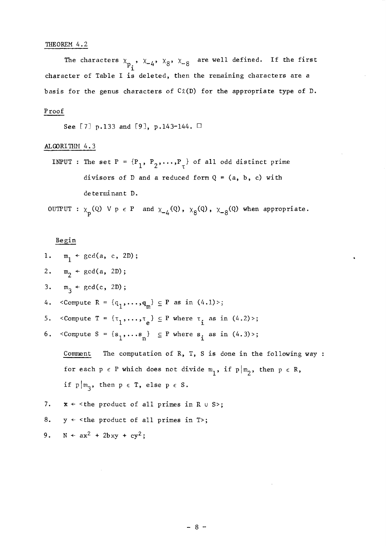#### THEOREM 4.2

The characters  $\chi$ <sub>n</sub> ,  $\chi$ <sub>4</sub>,  $\chi$ <sub>8</sub>,  $\chi$ <sub>-8</sub> are well defined. If the firs  $\mathbf{r}$ character of Table I is deleted, then the remaining characters are a basis for the genus characters of  $C_{\lambda}(D)$  for the appropriate type of D.

#### <sup>P</sup>roof

See [7] p.133 and [9], p.143-144.  $\Box$ 

#### ALGORITHM 4.3

INPUT : The set P =  ${P_1, P_2, ..., P_{\tau}}$  of all odd distinct prime divisors of D and a reduced form  $Q = (a, b, c)$  with de terminant D.

OUTPUT :  $\chi_p(Q)$  V p  $\in$  P and  $\chi_{-4}(Q)$ ,  $\chi_{8}(Q)$ ,  $\chi_{-8}(Q)$  when appropriate.

#### Begin

|    | 1. $m_1$ + gcd(a, c, 2D);                                                                                                         |
|----|-----------------------------------------------------------------------------------------------------------------------------------|
|    | 2. $m_2 \leftarrow \gcd(a, 2D);$                                                                                                  |
|    | 3. $m_3$ + gcd(c, 2D);                                                                                                            |
|    | 4. < Compute R = $\{q_1, , q_m\} \subseteq P$ as in $(4.1)$ >;                                                                    |
|    | 5. <compute <math="">T = \{\tau_1, \ldots, \tau_n\} \subseteq P where <math>\tau_i</math> as in <math>(4.2)</math>,</compute>     |
|    | 6. <compute s="&lt;math">\{s_1, \ldots s_n\} <math>\subseteq</math> P where <math>s_i</math> as in <math>(4.3)</math> ;</compute> |
|    | The computation of R, T, S is done in the following way :<br>Comment                                                              |
|    | for each $p \in P$ which does not divide $m_1$ , if $p   m_2$ , then $p \in R$ ,                                                  |
|    | if $p   m_q$ , then $p \in T$ , else $p \in S$ .                                                                                  |
| 7. | $x \leftarrow$ < the product of all primes in R $\cup$ S>;                                                                        |
| 8. | $y \leftarrow$ <the all="" in="" of="" primes="" product="" t="">;</the>                                                          |
|    | 9. $N \leftarrow ax^2 + 2bxy + cy^2$ ;                                                                                            |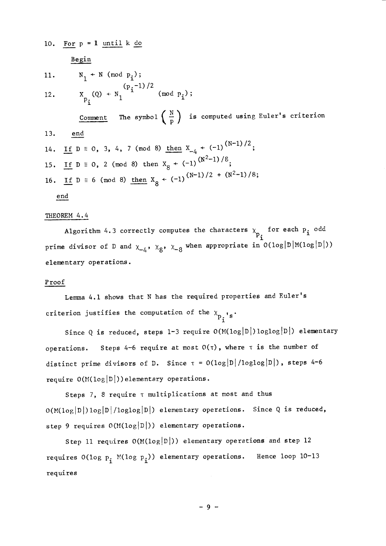10. For 
$$
p = 1
$$
 until k do  
\n
$$
\frac{\text{Begin}}{1!}
$$
\n11.  $N_1 \leftarrow N \pmod{p_i};$ \n
$$
(p,-1)/2
$$

 $X_{p_i}(Q) \leftarrow N_1^{VP_1^{L/J/L}} \pmod{p_i};$  $12.$ 

Comment The symbol  $\left(\begin{array}{c} N \\ p \end{array}\right)$  is computed using Euler's criterion

14. If  $D \equiv 0$ , 3, 4, 7 (mod 8) then  $X_{-4}$  + (-1)<sup>(N-1)/2</sup>; 15. If  $D \equiv 0$ , 2 (mod 8) then  $X_8 \leftarrow (-1)^{(N^2-1)/8}$ ; 16. If  $D \equiv 6 \pmod{8}$  then  $X_8 \leftarrow (-1)^{(N-1)/2} + (N^2-1)/8;$ 

end

 $13.$ 

#### THEOREM 4.4

end

Algorithm 4.3 correctly computes the characters  $x_{p_2}$  for each  $p_i$  odd prime divisor of D and  $\chi_{-4}$ ,  $\chi_{8}$ ,  $\chi_{-8}$  when appropriate in  $O(log|D|M(log|D|)$ elementary operations.

#### Proof

Lemma 4.1 shows that N has the required properties and Euler's criterion justifies the computation of the  $x_{p_1}$ 's.

Since Q is reduced, steps 1-3 require  $O(M(\log|D|)\log\log|D|)$  elementary Steps 4-6 require at most  $O(\tau)$ , where  $\tau$  is the number of operations. distinct prime divisors of D. Since  $\tau = O(\log |D| / \log \log |D|)$ , steps 4-6 require  $O(M(10g|D|))$  elementary operations.

Steps 7, 8 require t multiplications at most and thus  $O(M(\log|D|)\log|D|/\log\log|D|)$  elementary operations. Since Q is reduced, step 9 requires  $O(M(\log|D|))$  elementary operations.

Step 11 requires  $O(M(\log|D|))$  elementary operations and step 12 requires  $O(\log p_i \text{ M}(\log p_i))$  elementary operations. Hence loop 10-13 requires

 $-9 -$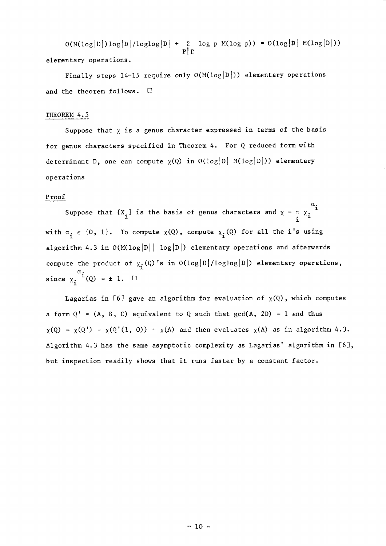$O(M(\log|D|)\log|D|/\log\log|D|$  + r  $\log$  p M(log p)) =  $O(\log|D|$  M(log  $|D|)$ )  $\bar{\mathbf{p}}$   $\bar{\mathbf{l}}$   $\bar{\mathbf{r}}$ elementary operations.

Finally steps 14-15 require only  $O(M(\log|D|))$  elementary operations and the theorem follows.  $\Box$ 

#### THEOREM 4.5

Suppose that  $x$  is a genus character expressed in terms of the basis for genus characters specified in Theorem 4. For Q reduced form with determinant D, one can compute  $\chi(Q)$  in  $O(log|D| \ M(log|D|))$  elementary operations

#### <sup>P</sup>roof

Suppose that  $\{X_i\}$  is the basis of genus characters and  $\chi = \pi \times \begin{matrix} \alpha_i & \cdots & \alpha_{i-1} \\ \vdots & \vdots & \ddots & \vdots \\ \alpha_i & \cdots & \alpha_{i-1} & \cdots & \alpha_{i-1} \end{matrix}$ with  $\alpha_i \in \{0, 1\}$ . To compute  $\chi(Q)$ , compute  $\chi_i(Q)$  for all the i's using algorithm 4.3 in  $O(M(\log|D| \log|D|))$  elementary operations and afterwards compute the product of  $\chi_i(Q)$ 's in  $O(log|D|/loglog|D|)$  elementary operations, since  $\chi_i^{\alpha}$ i (Q) = ± 1.  $\square$ 

Lagarias in [6] gave an algorithm for evaluation of  $\chi(Q)$ , which computes a form  $Q' = (A, B, C)$  equivalent to Q such that  $gcd(A, 2D) = 1$  and thus  $\chi(Q) = \chi(Q') = \chi(Q'(1, 0)) = \chi(A)$  and then evaluates  $\chi(A)$  as in algorithm 4.3. Algorithm 4.3 has the same asymptotic complexity as Lagarias' algorithm in  $[6]$ , but inspection readily shows that it runs faster by a constant factor.